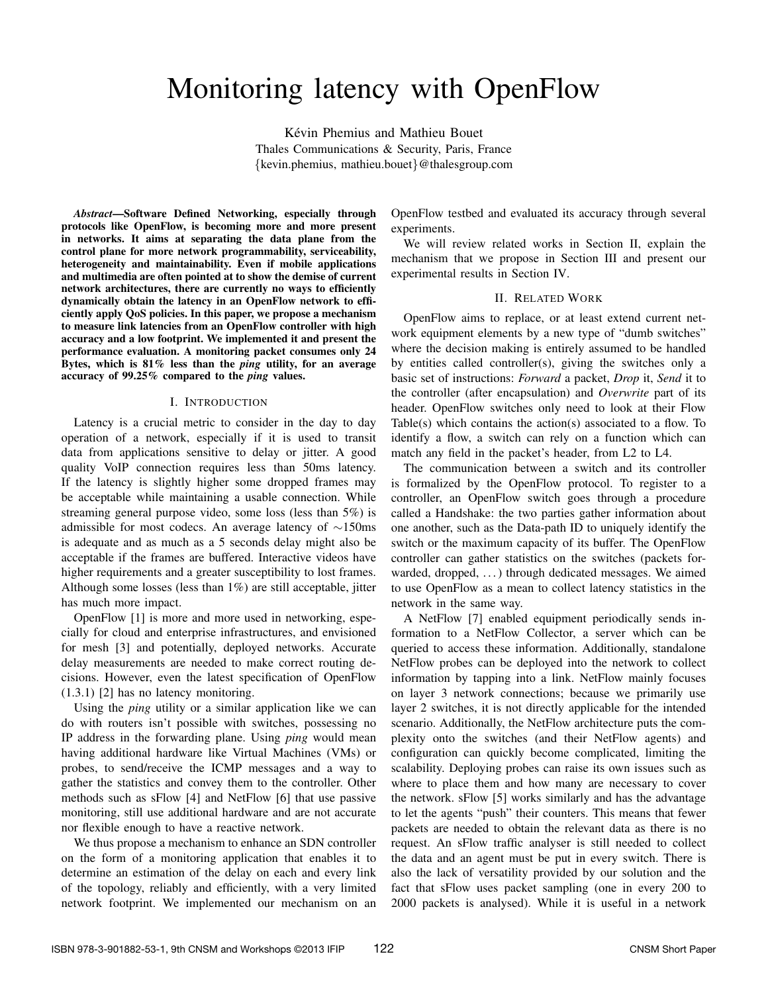# Monitoring latency with OpenFlow

Kévin Phemius and Mathieu Bouet Thales Communications & Security, Paris, France {kevin.phemius, mathieu.bouet}@thalesgroup.com

*Abstract*—Software Defined Networking, especially through protocols like OpenFlow, is becoming more and more present in networks. It aims at separating the data plane from the control plane for more network programmability, serviceability, heterogeneity and maintainability. Even if mobile applications and multimedia are often pointed at to show the demise of current network architectures, there are currently no ways to efficiently dynamically obtain the latency in an OpenFlow network to efficiently apply QoS policies. In this paper, we propose a mechanism to measure link latencies from an OpenFlow controller with high accuracy and a low footprint. We implemented it and present the performance evaluation. A monitoring packet consumes only 24 Bytes, which is 81% less than the *ping* utility, for an average accuracy of 99.25% compared to the *ping* values.

#### I. INTRODUCTION

Latency is a crucial metric to consider in the day to day operation of a network, especially if it is used to transit data from applications sensitive to delay or jitter. A good quality VoIP connection requires less than 50ms latency. If the latency is slightly higher some dropped frames may be acceptable while maintaining a usable connection. While streaming general purpose video, some loss (less than 5%) is admissible for most codecs. An average latency of ∼150ms is adequate and as much as a 5 seconds delay might also be acceptable if the frames are buffered. Interactive videos have higher requirements and a greater susceptibility to lost frames. Although some losses (less than 1%) are still acceptable, jitter has much more impact.

OpenFlow [1] is more and more used in networking, especially for cloud and enterprise infrastructures, and envisioned for mesh [3] and potentially, deployed networks. Accurate delay measurements are needed to make correct routing decisions. However, even the latest specification of OpenFlow (1.3.1) [2] has no latency monitoring.

Using the *ping* utility or a similar application like we can do with routers isn't possible with switches, possessing no IP address in the forwarding plane. Using *ping* would mean having additional hardware like Virtual Machines (VMs) or probes, to send/receive the ICMP messages and a way to gather the statistics and convey them to the controller. Other methods such as sFlow [4] and NetFlow [6] that use passive monitoring, still use additional hardware and are not accurate nor flexible enough to have a reactive network.

We thus propose a mechanism to enhance an SDN controller on the form of a monitoring application that enables it to determine an estimation of the delay on each and every link of the topology, reliably and efficiently, with a very limited network footprint. We implemented our mechanism on an

OpenFlow testbed and evaluated its accuracy through several experiments.

We will review related works in Section II, explain the mechanism that we propose in Section III and present our experimental results in Section IV.

## II. RELATED WORK

OpenFlow aims to replace, or at least extend current network equipment elements by a new type of "dumb switches" where the decision making is entirely assumed to be handled by entities called controller(s), giving the switches only a basic set of instructions: *Forward* a packet, *Drop* it, *Send* it to the controller (after encapsulation) and *Overwrite* part of its header. OpenFlow switches only need to look at their Flow Table(s) which contains the action(s) associated to a flow. To identify a flow, a switch can rely on a function which can match any field in the packet's header, from L2 to L4.

The communication between a switch and its controller is formalized by the OpenFlow protocol. To register to a controller, an OpenFlow switch goes through a procedure called a Handshake: the two parties gather information about one another, such as the Data-path ID to uniquely identify the switch or the maximum capacity of its buffer. The OpenFlow controller can gather statistics on the switches (packets forwarded, dropped, ...) through dedicated messages. We aimed to use OpenFlow as a mean to collect latency statistics in the network in the same way.

A NetFlow [7] enabled equipment periodically sends information to a NetFlow Collector, a server which can be queried to access these information. Additionally, standalone NetFlow probes can be deployed into the network to collect information by tapping into a link. NetFlow mainly focuses on layer 3 network connections; because we primarily use layer 2 switches, it is not directly applicable for the intended scenario. Additionally, the NetFlow architecture puts the complexity onto the switches (and their NetFlow agents) and configuration can quickly become complicated, limiting the scalability. Deploying probes can raise its own issues such as where to place them and how many are necessary to cover the network. sFlow [5] works similarly and has the advantage to let the agents "push" their counters. This means that fewer packets are needed to obtain the relevant data as there is no request. An sFlow traffic analyser is still needed to collect the data and an agent must be put in every switch. There is also the lack of versatility provided by our solution and the fact that sFlow uses packet sampling (one in every 200 to 2000 packets is analysed). While it is useful in a network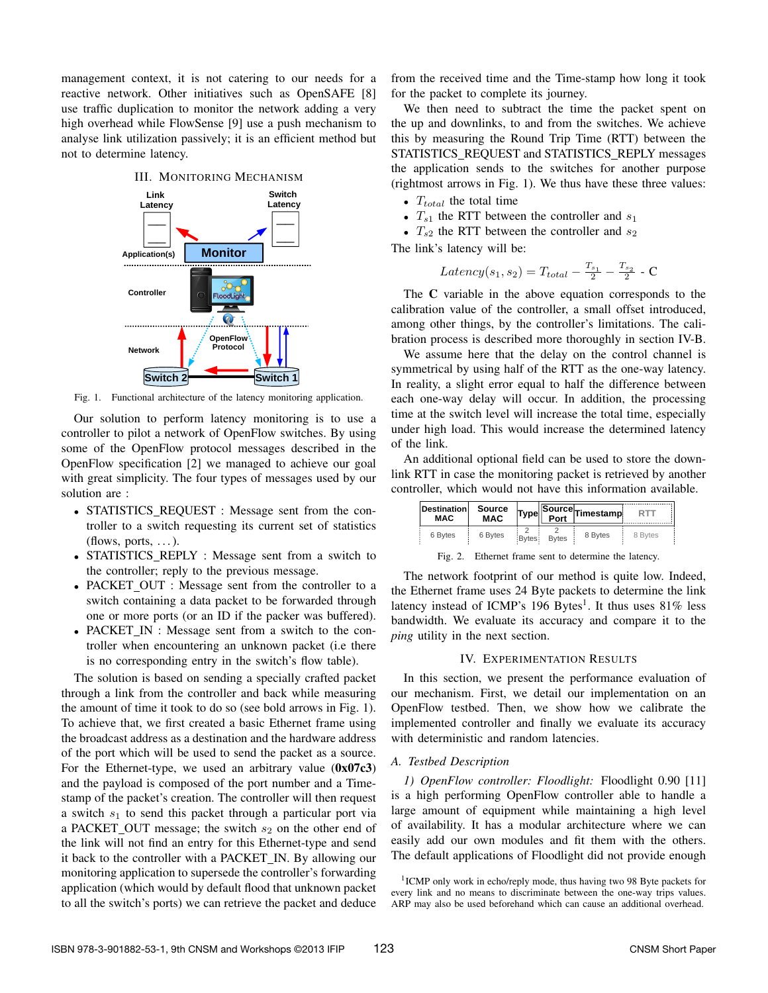management context, it is not catering to our needs for a reactive network. Other initiatives such as OpenSAFE [8] use traffic duplication to monitor the network adding a very high overhead while FlowSense [9] use a push mechanism to analyse link utilization passively; it is an efficient method but not to determine latency.



Fig. 1. Functional architecture of the latency monitoring application.

Our solution to perform latency monitoring is to use a controller to pilot a network of OpenFlow switches. By using some of the OpenFlow protocol messages described in the OpenFlow specification [2] we managed to achieve our goal with great simplicity. The four types of messages used by our solution are :

- STATISTICS\_REQUEST : Message sent from the controller to a switch requesting its current set of statistics (flows, ports,  $\dots$ ).
- STATISTICS\_REPLY : Message sent from a switch to the controller; reply to the previous message.
- PACKET\_OUT : Message sent from the controller to a switch containing a data packet to be forwarded through one or more ports (or an ID if the packer was buffered).
- PACKET IN : Message sent from a switch to the controller when encountering an unknown packet (i.e there is no corresponding entry in the switch's flow table).

The solution is based on sending a specially crafted packet through a link from the controller and back while measuring the amount of time it took to do so (see bold arrows in Fig. 1). To achieve that, we first created a basic Ethernet frame using the broadcast address as a destination and the hardware address of the port which will be used to send the packet as a source. For the Ethernet-type, we used an arbitrary value  $(0x07c3)$ and the payload is composed of the port number and a Timestamp of the packet's creation. The controller will then request a switch  $s_1$  to send this packet through a particular port via a PACKET\_OUT message; the switch  $s_2$  on the other end of the link will not find an entry for this Ethernet-type and send it back to the controller with a PACKET IN. By allowing our monitoring application to supersede the controller's forwarding application (which would by default flood that unknown packet to all the switch's ports) we can retrieve the packet and deduce from the received time and the Time-stamp how long it took for the packet to complete its journey.

We then need to subtract the time the packet spent on the up and downlinks, to and from the switches. We achieve this by measuring the Round Trip Time (RTT) between the STATISTICS\_REQUEST and STATISTICS\_REPLY messages the application sends to the switches for another purpose (rightmost arrows in Fig. 1). We thus have these three values:

- $T_{total}$  the total time
- $T_{s1}$  the RTT between the controller and  $s_1$
- $T_{s2}$  the RTT between the controller and  $s_2$

The link's latency will be:

$$
Latency(s_1, s_2) = T_{total} - \frac{T_{s_1}}{2} - \frac{T_{s_2}}{2} - C
$$

The C variable in the above equation corresponds to the calibration value of the controller, a small offset introduced, among other things, by the controller's limitations. The calibration process is described more thoroughly in section IV-B.

We assume here that the delay on the control channel is symmetrical by using half of the RTT as the one-way latency. In reality, a slight error equal to half the difference between each one-way delay will occur. In addition, the processing time at the switch level will increase the total time, especially under high load. This would increase the determined latency of the link.

An additional optional field can be used to store the downlink RTT in case the monitoring packet is retrieved by another controller, which would not have this information available.

| <b>Destination</b><br><b>MAC</b> | Source<br><b>MAC</b> | <b>Type</b> |              | Source Timestamp |         |
|----------------------------------|----------------------|-------------|--------------|------------------|---------|
| 6 Bytes                          | 6 Bytes              | Bytes:      | <b>Bytes</b> | 8 Bytes          | 8 Bytes |

Fig. 2. Ethernet frame sent to determine the latency.

The network footprint of our method is quite low. Indeed, the Ethernet frame uses 24 Byte packets to determine the link latency instead of ICMP's 196 Bytes<sup>1</sup>. It thus uses 81% less bandwidth. We evaluate its accuracy and compare it to the *ping* utility in the next section.

# IV. EXPERIMENTATION RESULTS

In this section, we present the performance evaluation of our mechanism. First, we detail our implementation on an OpenFlow testbed. Then, we show how we calibrate the implemented controller and finally we evaluate its accuracy with deterministic and random latencies.

# *A. Testbed Description*

*1) OpenFlow controller: Floodlight:* Floodlight 0.90 [11] is a high performing OpenFlow controller able to handle a large amount of equipment while maintaining a high level of availability. It has a modular architecture where we can easily add our own modules and fit them with the others. The default applications of Floodlight did not provide enough

<sup>&</sup>lt;sup>1</sup>ICMP only work in echo/reply mode, thus having two 98 Byte packets for every link and no means to discriminate between the one-way trips values. ARP may also be used beforehand which can cause an additional overhead.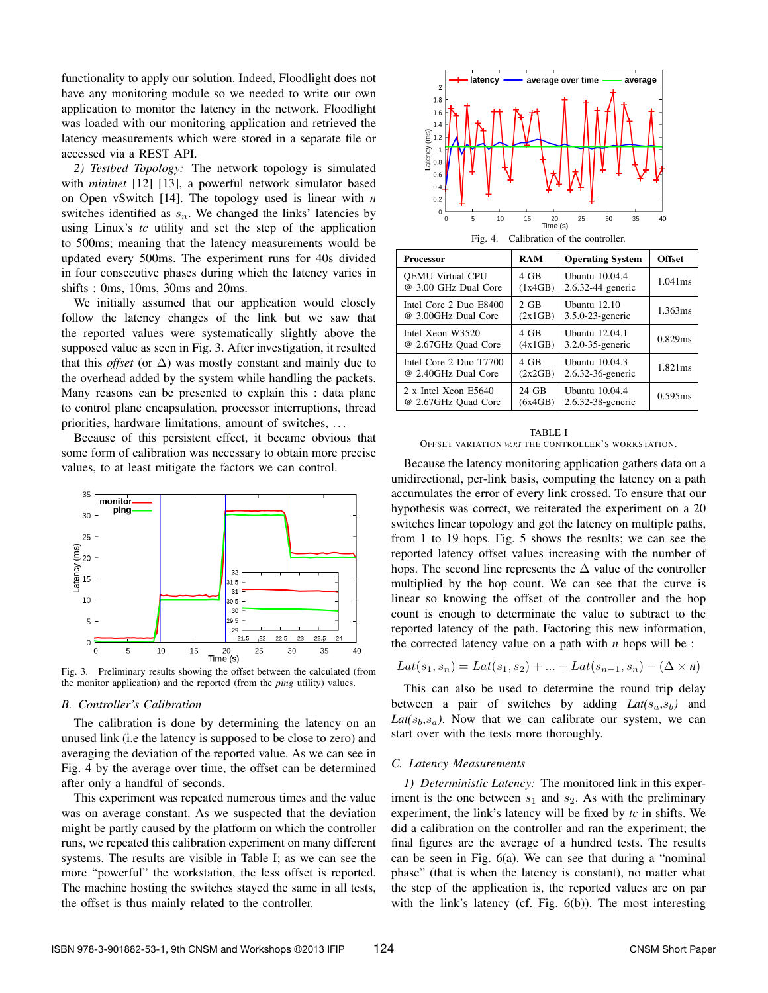functionality to apply our solution. Indeed, Floodlight does not have any monitoring module so we needed to write our own application to monitor the latency in the network. Floodlight was loaded with our monitoring application and retrieved the latency measurements which were stored in a separate file or accessed via a REST API.

*2) Testbed Topology:* The network topology is simulated with *mininet* [12] [13], a powerful network simulator based on Open vSwitch [14]. The topology used is linear with *n* switches identified as  $s_n$ . We changed the links' latencies by using Linux's *tc* utility and set the step of the application to 500ms; meaning that the latency measurements would be updated every 500ms. The experiment runs for 40s divided in four consecutive phases during which the latency varies in shifts : 0ms, 10ms, 30ms and 20ms.

We initially assumed that our application would closely follow the latency changes of the link but we saw that the reported values were systematically slightly above the supposed value as seen in Fig. 3. After investigation, it resulted that this *offset* (or  $\Delta$ ) was mostly constant and mainly due to the overhead added by the system while handling the packets. Many reasons can be presented to explain this : data plane to control plane encapsulation, processor interruptions, thread priorities, hardware limitations, amount of switches, . . .

Because of this persistent effect, it became obvious that some form of calibration was necessary to obtain more precise values, to at least mitigate the factors we can control.



Fig. 3. Preliminary results showing the offset between the calculated (from the monitor application) and the reported (from the *ping* utility) values.

#### *B. Controller's Calibration*

The calibration is done by determining the latency on an unused link (i.e the latency is supposed to be close to zero) and averaging the deviation of the reported value. As we can see in Fig. 4 by the average over time, the offset can be determined after only a handful of seconds.

This experiment was repeated numerous times and the value was on average constant. As we suspected that the deviation might be partly caused by the platform on which the controller runs, we repeated this calibration experiment on many different systems. The results are visible in Table I; as we can see the more "powerful" the workstation, the less offset is reported. The machine hosting the switches stayed the same in all tests, the offset is thus mainly related to the controller.



Fig. 4. Calibration of the controller.

| Processor               | <b>RAM</b> | <b>Operating System</b> | <b>Offset</b> |
|-------------------------|------------|-------------------------|---------------|
| <b>OEMU Virtual CPU</b> | 4 GB       | <b>Ubuntu</b> 10.04.4   | 1.041ms       |
| @ 3.00 GHz Dual Core    | (1x4GB)    | 2.6.32-44 generic       |               |
| Intel Core 2 Duo E8400  | $2$ GB     | Ubuntu $12.10$          | 1.363ms       |
| @ 3.00GHz Dual Core     | (2x1GB)    | $3.5.0 - 23$ -generic   |               |
| Intel Xeon W3520        | 4 GB       | Ubuntu 12,04.1          | 0.829ms       |
| @ 2.67GHz Quad Core     | (4x1GB)    | 3.2.0-35-generic        |               |
| Intel Core 2 Duo T7700  | 4 GB       | <b>Ubuntu 10.04.3</b>   | 1.821ms       |
| @ 2.40GHz Dual Core     | (2x2GB)    | 2.6.32-36-generic       |               |
| 2 x Intel Xeon E5640    | 24 GB      | <b>Ubuntu</b> 10.04.4   | 0.595ms       |
| @ 2.67GHz Quad Core     | (6x4GB)    | 2.6.32-38-generic       |               |

#### TABLE I OFFSET VARIATION *w.r.t* THE CONTROLLER'S WORKSTATION.

Because the latency monitoring application gathers data on a unidirectional, per-link basis, computing the latency on a path accumulates the error of every link crossed. To ensure that our hypothesis was correct, we reiterated the experiment on a 20 switches linear topology and got the latency on multiple paths, from 1 to 19 hops. Fig. 5 shows the results; we can see the reported latency offset values increasing with the number of hops. The second line represents the  $\Delta$  value of the controller multiplied by the hop count. We can see that the curve is linear so knowing the offset of the controller and the hop count is enough to determinate the value to subtract to the reported latency of the path. Factoring this new information, the corrected latency value on a path with *n* hops will be :

$$
Lat(s_1, s_n) = Lat(s_1, s_2) + ... + Lat(s_{n-1}, s_n) - (\Delta \times n)
$$

This can also be used to determine the round trip delay between a pair of switches by adding  $Lat(s_a, s_b)$  and  $Lat(s_b, s_a)$ . Now that we can calibrate our system, we can start over with the tests more thoroughly.

## *C. Latency Measurements*

*1) Deterministic Latency:* The monitored link in this experiment is the one between  $s_1$  and  $s_2$ . As with the preliminary experiment, the link's latency will be fixed by *tc* in shifts. We did a calibration on the controller and ran the experiment; the final figures are the average of a hundred tests. The results can be seen in Fig. 6(a). We can see that during a "nominal phase" (that is when the latency is constant), no matter what the step of the application is, the reported values are on par with the link's latency (cf. Fig. 6(b)). The most interesting